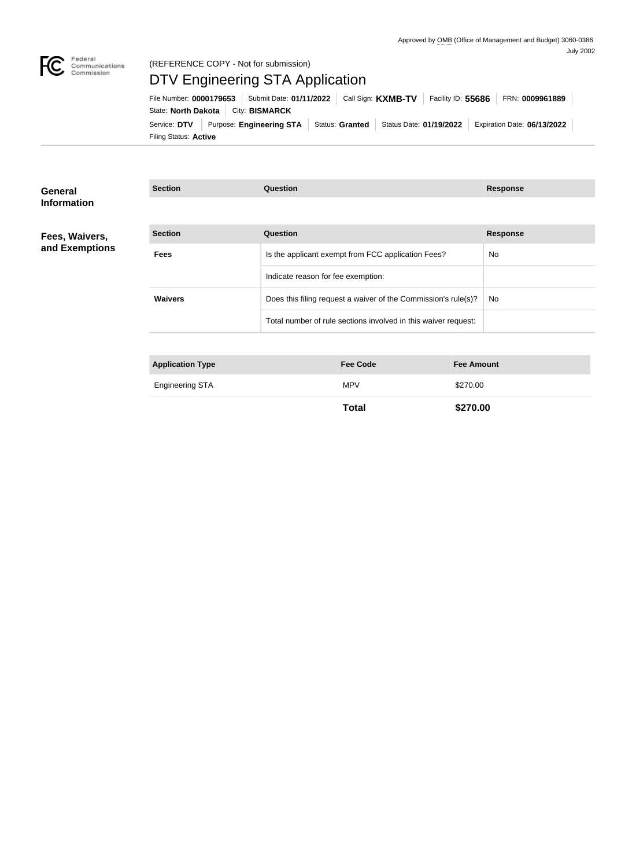

#### Federal<br>Communications<br>Commission (REFERENCE COPY - Not for submission)

# DTV Engineering STA Application

Filing Status: **Active** Service: DTV Purpose: Engineering STA Status: Granted Status Date: 01/19/2022 Expiration Date: 06/13/2022 State: **North Dakota** | City: **BISMARCK** File Number: **0000179653** Submit Date: **01/11/2022** Call Sign: **KXMB-TV** Facility ID: **55686** FRN: **0009961889**

| <b>Section</b><br>Question<br><b>Response</b><br>Fees, Waivers,<br>and Exemptions<br>Is the applicant exempt from FCC application Fees?<br><b>Fees</b><br>No |  |
|--------------------------------------------------------------------------------------------------------------------------------------------------------------|--|
|                                                                                                                                                              |  |
|                                                                                                                                                              |  |
| Indicate reason for fee exemption:                                                                                                                           |  |
| <b>Waivers</b><br>Does this filing request a waiver of the Commission's rule(s)?<br>No.                                                                      |  |
| Total number of rule sections involved in this waiver request:                                                                                               |  |
|                                                                                                                                                              |  |
| <b>Application Type</b><br><b>Fee Code</b><br><b>Fee Amount</b>                                                                                              |  |

| <b>Engineering STA</b> | <b>MPV</b> | .00 |
|------------------------|------------|-----|
|                        |            |     |

**Total \$270.00**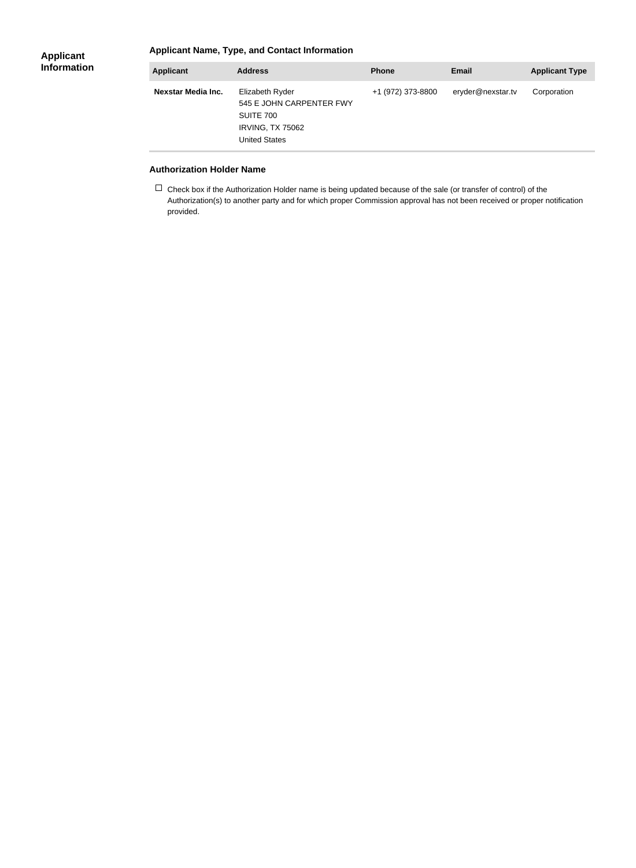#### **Applicant Information**

### **Applicant Name, Type, and Contact Information**

| <b>Applicant</b>   | <b>Address</b>                                                                                              | <b>Phone</b>      | Email             | <b>Applicant Type</b> |
|--------------------|-------------------------------------------------------------------------------------------------------------|-------------------|-------------------|-----------------------|
| Nexstar Media Inc. | Elizabeth Ryder<br>545 E JOHN CARPENTER FWY<br>SUITE 700<br><b>IRVING, TX 75062</b><br><b>United States</b> | +1 (972) 373-8800 | eryder@nexstar.tv | Corporation           |

#### **Authorization Holder Name**

 $\Box$  Check box if the Authorization Holder name is being updated because of the sale (or transfer of control) of the Authorization(s) to another party and for which proper Commission approval has not been received or proper notification provided.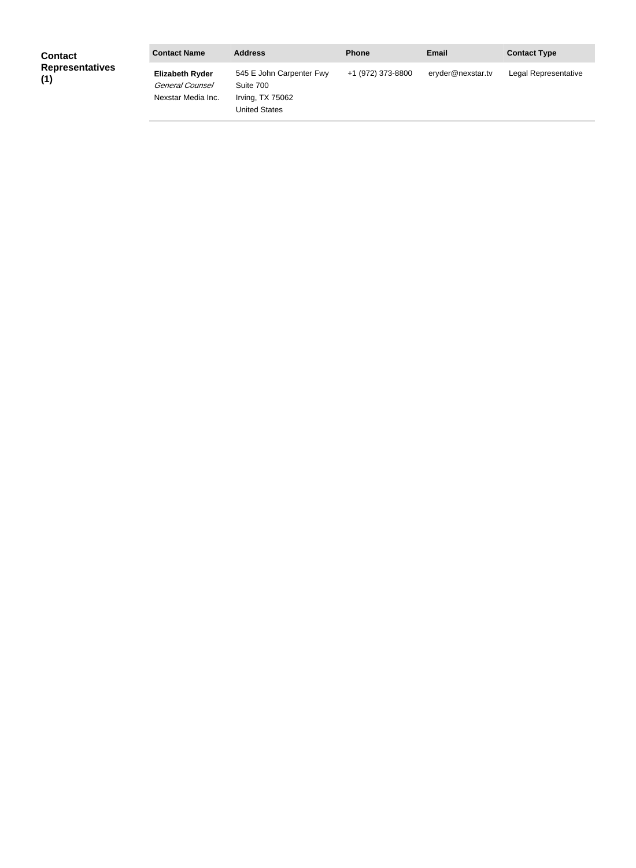| <b>Contact</b>                | <b>Contact Name</b>                                             | <b>Address</b>                                                                    | <b>Phone</b>      | <b>Email</b>      | <b>Contact Type</b>  |
|-------------------------------|-----------------------------------------------------------------|-----------------------------------------------------------------------------------|-------------------|-------------------|----------------------|
| <b>Representatives</b><br>(1) | <b>Elizabeth Ryder</b><br>General Counsel<br>Nexstar Media Inc. | 545 E John Carpenter Fwy<br>Suite 700<br>Irving, TX 75062<br><b>United States</b> | +1 (972) 373-8800 | eryder@nexstar.tv | Legal Representative |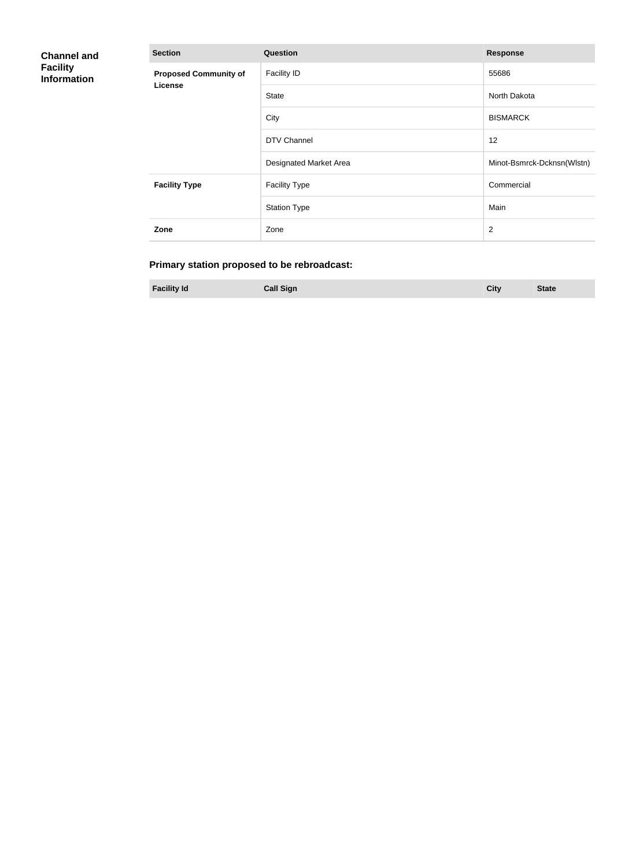| <b>Channel and</b><br><b>Facility</b><br><b>Information</b> | <b>Section</b>               | Question               | <b>Response</b>            |
|-------------------------------------------------------------|------------------------------|------------------------|----------------------------|
|                                                             | <b>Proposed Community of</b> | <b>Facility ID</b>     | 55686                      |
|                                                             | <b>License</b>               | <b>State</b>           | North Dakota               |
|                                                             |                              | City                   | <b>BISMARCK</b>            |
|                                                             |                              | DTV Channel            | 12                         |
|                                                             |                              | Designated Market Area | Minot-Bsmrck-Dcknsn(Wlstn) |
|                                                             | <b>Facility Type</b>         | <b>Facility Type</b>   | Commercial                 |
|                                                             |                              | <b>Station Type</b>    | Main                       |
|                                                             | Zone                         | Zone                   | $\overline{2}$             |

## **Primary station proposed to be rebroadcast:**

**Facility Id Call Sign City State**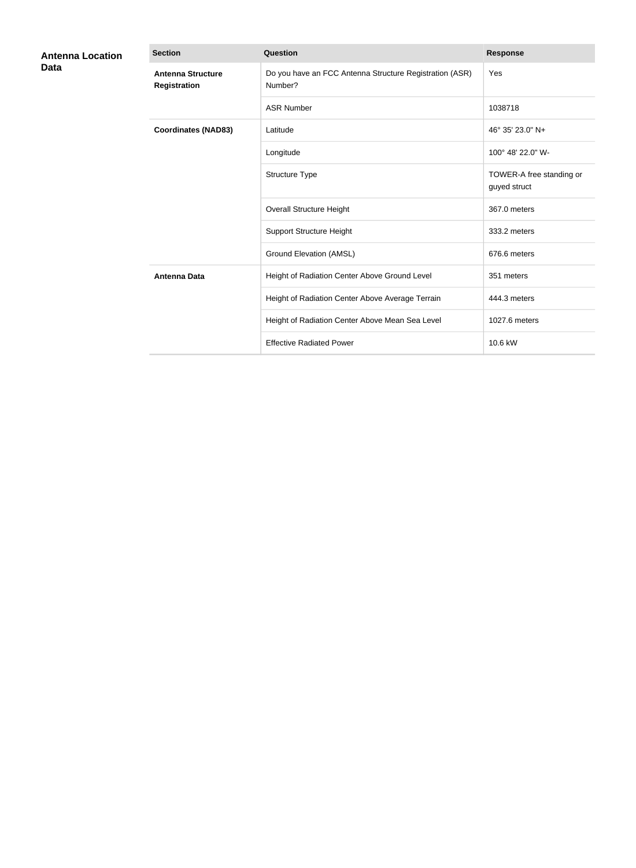| <b>Antenna Location</b> | <b>Section</b>                           | Question                                                           | <b>Response</b>                          |
|-------------------------|------------------------------------------|--------------------------------------------------------------------|------------------------------------------|
| Data                    | <b>Antenna Structure</b><br>Registration | Do you have an FCC Antenna Structure Registration (ASR)<br>Number? | Yes                                      |
|                         |                                          | <b>ASR Number</b>                                                  | 1038718                                  |
|                         | <b>Coordinates (NAD83)</b>               | Latitude                                                           | 46° 35' 23.0" N+                         |
|                         |                                          | Longitude                                                          | 100° 48' 22.0" W-                        |
|                         |                                          | Structure Type                                                     | TOWER-A free standing or<br>guyed struct |
|                         |                                          | <b>Overall Structure Height</b>                                    | 367.0 meters                             |
|                         |                                          | <b>Support Structure Height</b>                                    | 333.2 meters                             |
|                         |                                          | <b>Ground Elevation (AMSL)</b>                                     | 676.6 meters                             |
|                         | <b>Antenna Data</b>                      | Height of Radiation Center Above Ground Level                      | 351 meters                               |
|                         |                                          | Height of Radiation Center Above Average Terrain                   | 444.3 meters                             |
|                         |                                          | Height of Radiation Center Above Mean Sea Level                    | 1027.6 meters                            |
|                         |                                          | <b>Effective Radiated Power</b>                                    | 10.6 kW                                  |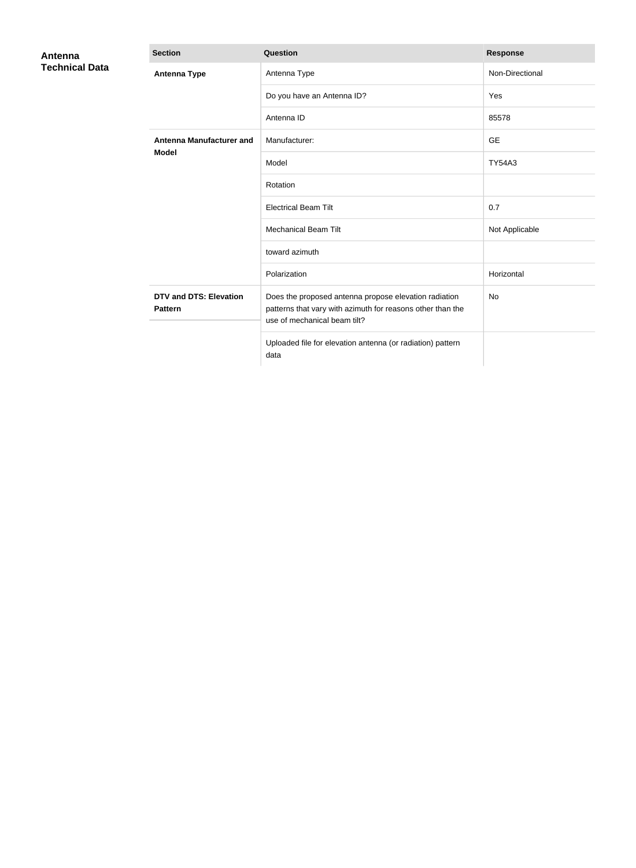| Antenna               | <b>Section</b>                                  | Question                                                                                                                                            | <b>Response</b> |
|-----------------------|-------------------------------------------------|-----------------------------------------------------------------------------------------------------------------------------------------------------|-----------------|
| <b>Technical Data</b> | <b>Antenna Type</b>                             | Antenna Type                                                                                                                                        | Non-Directional |
|                       |                                                 | Do you have an Antenna ID?                                                                                                                          | Yes             |
|                       |                                                 | Antenna ID                                                                                                                                          | 85578           |
|                       | <b>Antenna Manufacturer and</b>                 | Manufacturer:                                                                                                                                       | <b>GE</b>       |
|                       | <b>Model</b>                                    | Model                                                                                                                                               | <b>TY54A3</b>   |
|                       |                                                 | Rotation                                                                                                                                            |                 |
|                       |                                                 | <b>Electrical Beam Tilt</b>                                                                                                                         | 0.7             |
|                       |                                                 | <b>Mechanical Beam Tilt</b>                                                                                                                         | Not Applicable  |
|                       |                                                 | toward azimuth                                                                                                                                      |                 |
|                       |                                                 | Polarization                                                                                                                                        | Horizontal      |
|                       | <b>DTV and DTS: Elevation</b><br><b>Pattern</b> | Does the proposed antenna propose elevation radiation<br>patterns that vary with azimuth for reasons other than the<br>use of mechanical beam tilt? | <b>No</b>       |
|                       |                                                 | Uploaded file for elevation antenna (or radiation) pattern<br>data                                                                                  |                 |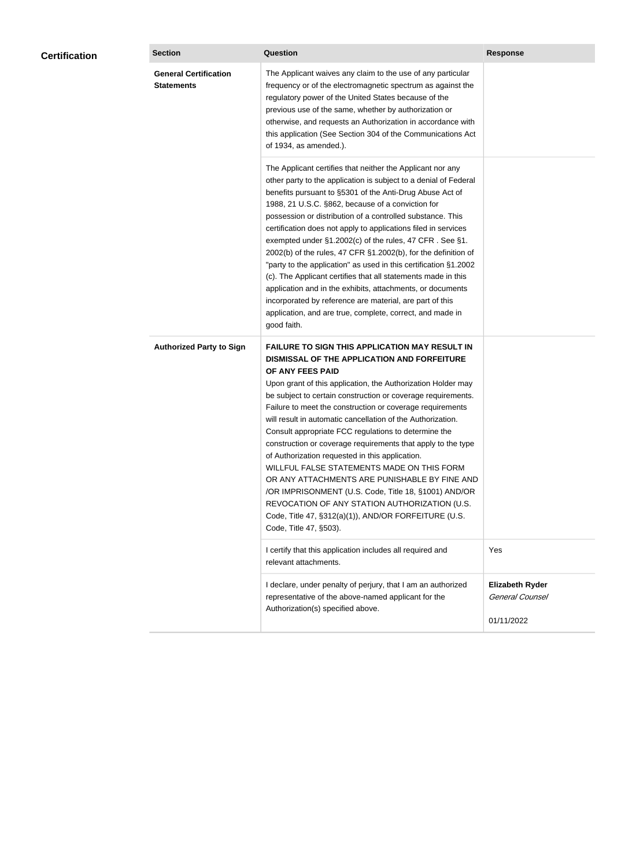| <b>General Certification</b><br>The Applicant waives any claim to the use of any particular<br><b>Statements</b><br>frequency or of the electromagnetic spectrum as against the<br>regulatory power of the United States because of the<br>previous use of the same, whether by authorization or<br>otherwise, and requests an Authorization in accordance with<br>this application (See Section 304 of the Communications Act<br>of 1934, as amended.).<br>The Applicant certifies that neither the Applicant nor any<br>other party to the application is subject to a denial of Federal<br>benefits pursuant to §5301 of the Anti-Drug Abuse Act of<br>1988, 21 U.S.C. §862, because of a conviction for<br>possession or distribution of a controlled substance. This<br>certification does not apply to applications filed in services<br>exempted under §1.2002(c) of the rules, 47 CFR. See §1.<br>2002(b) of the rules, 47 CFR §1.2002(b), for the definition of<br>"party to the application" as used in this certification §1.2002<br>(c). The Applicant certifies that all statements made in this<br>application and in the exhibits, attachments, or documents<br>incorporated by reference are material, are part of this<br>application, and are true, complete, correct, and made in<br>good faith.<br><b>Authorized Party to Sign</b><br><b>FAILURE TO SIGN THIS APPLICATION MAY RESULT IN</b><br>DISMISSAL OF THE APPLICATION AND FORFEITURE<br>OF ANY FEES PAID<br>Upon grant of this application, the Authorization Holder may<br>be subject to certain construction or coverage requirements.<br>Failure to meet the construction or coverage requirements<br>will result in automatic cancellation of the Authorization.<br>Consult appropriate FCC regulations to determine the<br>construction or coverage requirements that apply to the type<br>of Authorization requested in this application.<br>WILLFUL FALSE STATEMENTS MADE ON THIS FORM<br>OR ANY ATTACHMENTS ARE PUNISHABLE BY FINE AND<br>/OR IMPRISONMENT (U.S. Code, Title 18, §1001) AND/OR<br>REVOCATION OF ANY STATION AUTHORIZATION (U.S.<br>Code, Title 47, §312(a)(1)), AND/OR FORFEITURE (U.S.<br>Code, Title 47, §503).<br>I certify that this application includes all required and<br>Yes<br>relevant attachments.<br><b>Elizabeth Ryder</b><br>I declare, under penalty of perjury, that I am an authorized<br>General Counsel<br>representative of the above-named applicant for the<br>Authorization(s) specified above. | <b>Certification</b> | <b>Section</b> | Question | <b>Response</b> |
|---------------------------------------------------------------------------------------------------------------------------------------------------------------------------------------------------------------------------------------------------------------------------------------------------------------------------------------------------------------------------------------------------------------------------------------------------------------------------------------------------------------------------------------------------------------------------------------------------------------------------------------------------------------------------------------------------------------------------------------------------------------------------------------------------------------------------------------------------------------------------------------------------------------------------------------------------------------------------------------------------------------------------------------------------------------------------------------------------------------------------------------------------------------------------------------------------------------------------------------------------------------------------------------------------------------------------------------------------------------------------------------------------------------------------------------------------------------------------------------------------------------------------------------------------------------------------------------------------------------------------------------------------------------------------------------------------------------------------------------------------------------------------------------------------------------------------------------------------------------------------------------------------------------------------------------------------------------------------------------------------------------------------------------------------------------------------------------------------------------------------------------------------------------------------------------------------------------------------------------------------------------------------------------------------------------------------------------------------------------------------------------------------------------------------------------------------------------------------------------------------------------------------|----------------------|----------------|----------|-----------------|
|                                                                                                                                                                                                                                                                                                                                                                                                                                                                                                                                                                                                                                                                                                                                                                                                                                                                                                                                                                                                                                                                                                                                                                                                                                                                                                                                                                                                                                                                                                                                                                                                                                                                                                                                                                                                                                                                                                                                                                                                                                                                                                                                                                                                                                                                                                                                                                                                                                                                                                                           |                      |                |          |                 |
|                                                                                                                                                                                                                                                                                                                                                                                                                                                                                                                                                                                                                                                                                                                                                                                                                                                                                                                                                                                                                                                                                                                                                                                                                                                                                                                                                                                                                                                                                                                                                                                                                                                                                                                                                                                                                                                                                                                                                                                                                                                                                                                                                                                                                                                                                                                                                                                                                                                                                                                           |                      |                |          |                 |
|                                                                                                                                                                                                                                                                                                                                                                                                                                                                                                                                                                                                                                                                                                                                                                                                                                                                                                                                                                                                                                                                                                                                                                                                                                                                                                                                                                                                                                                                                                                                                                                                                                                                                                                                                                                                                                                                                                                                                                                                                                                                                                                                                                                                                                                                                                                                                                                                                                                                                                                           |                      |                |          |                 |
|                                                                                                                                                                                                                                                                                                                                                                                                                                                                                                                                                                                                                                                                                                                                                                                                                                                                                                                                                                                                                                                                                                                                                                                                                                                                                                                                                                                                                                                                                                                                                                                                                                                                                                                                                                                                                                                                                                                                                                                                                                                                                                                                                                                                                                                                                                                                                                                                                                                                                                                           |                      |                |          |                 |
|                                                                                                                                                                                                                                                                                                                                                                                                                                                                                                                                                                                                                                                                                                                                                                                                                                                                                                                                                                                                                                                                                                                                                                                                                                                                                                                                                                                                                                                                                                                                                                                                                                                                                                                                                                                                                                                                                                                                                                                                                                                                                                                                                                                                                                                                                                                                                                                                                                                                                                                           |                      |                |          | 01/11/2022      |